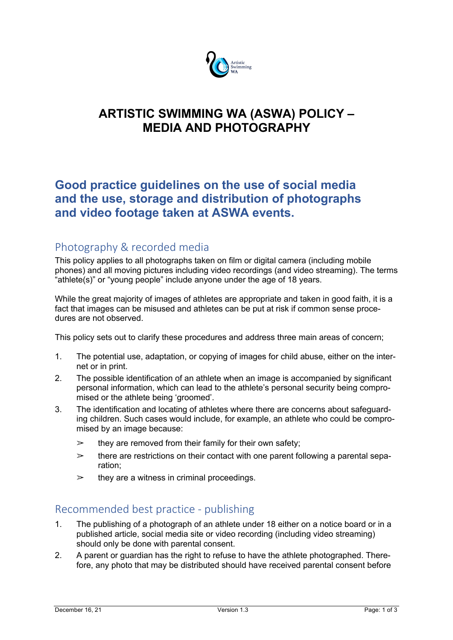

# **ARTISTIC SWIMMING WA (ASWA) POLICY – MEDIA AND PHOTOGRAPHY**

## **Good practice guidelines on the use of social media and the use, storage and distribution of photographs and video footage taken at ASWA events.**

### Photography & recorded media

This policy applies to all photographs taken on film or digital camera (including mobile phones) and all moving pictures including video recordings (and video streaming). The terms "athlete(s)" or "young people" include anyone under the age of 18 years.

While the great majority of images of athletes are appropriate and taken in good faith, it is a fact that images can be misused and athletes can be put at risk if common sense procedures are not observed.

This policy sets out to clarify these procedures and address three main areas of concern;

- 1. The potential use, adaptation, or copying of images for child abuse, either on the internet or in print.
- 2. The possible identification of an athlete when an image is accompanied by significant personal information, which can lead to the athlete's personal security being compromised or the athlete being 'groomed'.
- 3. The identification and locating of athletes where there are concerns about safeguarding children. Such cases would include, for example, an athlete who could be compromised by an image because:
	- $\geq$  they are removed from their family for their own safety;
	- $\geq$  there are restrictions on their contact with one parent following a parental separation;
	- $\geq$  they are a witness in criminal proceedings.

### Recommended best practice - publishing

- 1. The publishing of a photograph of an athlete under 18 either on a notice board or in a published article, social media site or video recording (including video streaming) should only be done with parental consent.
- 2. A parent or guardian has the right to refuse to have the athlete photographed. Therefore, any photo that may be distributed should have received parental consent before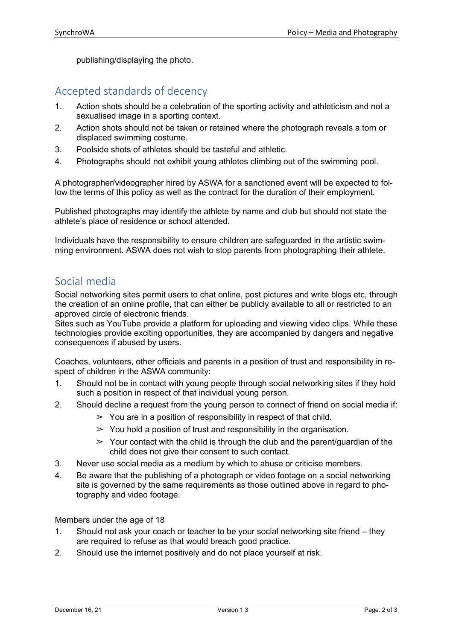publishing/displaying the photo.

#### Accepted standards of decency

- 1. Action shots should be a celebration of the sporting activity and athleticism and not a sexualised image in a sporting context.
- 2. Action shots should not be taken or retained where the photograph reveals a torn or displaced swimming costume.
- 3. Poolside shots of athletes should be tasteful and athletic.
- 4. Photographs should not exhibit young athletes climbing out of the swimming pool.

A photographer/videographer hired by ASWA for a sanctioned event will be expected to follow the terms of this policy as well as the contract for the duration of their employment.

Published photographs may identify the athlete by name and club but should not state the athlete's place of residence or school attended.

Individuals have the responsibility to ensure children are safeguarded in the artistic swimming environment. ASWA does not wish to stop parents from photographing their athlete.

#### Social media

Social networking sites permit users to chat online, post pictures and write blogs etc, through the creation of an online profile, that can either be publicly available to all or restricted to an approved circle of electronic friends.

Sites such as YouTube provide a platform for uploading and viewing video clips. While these technologies provide exciting opportunities, they are accompanied by dangers and negative consequences if abused by users.

Coaches, volunteers, other officials and parents in a position of trust and responsibility in respect of children in the ASWA community:

- 1. Should not be in contact with young people through social networking sites if they hold such a position in respect of that individual young person.
- 2. Should decline a request from the young person to connect of friend on social media if:
	- $\geq$  You are in a position of responsibility in respect of that child.
	- $\geq$  You hold a position of trust and responsibility in the organisation.
	- $\geq$  Your contact with the child is through the club and the parent/guardian of the child does not give their consent to such contact.
- 3. Never use social media as a medium by which to abuse or criticise members.
- 4. Be aware that the publishing of a photograph or video footage on a social networking site is governed by the same requirements as those outlined above in regard to photography and video footage.

Members under the age of 18

- 1. Should not ask your coach or teacher to be your social networking site friend they are required to refuse as that would breach good practice.
- 2. Should use the internet positively and do not place yourself at risk.